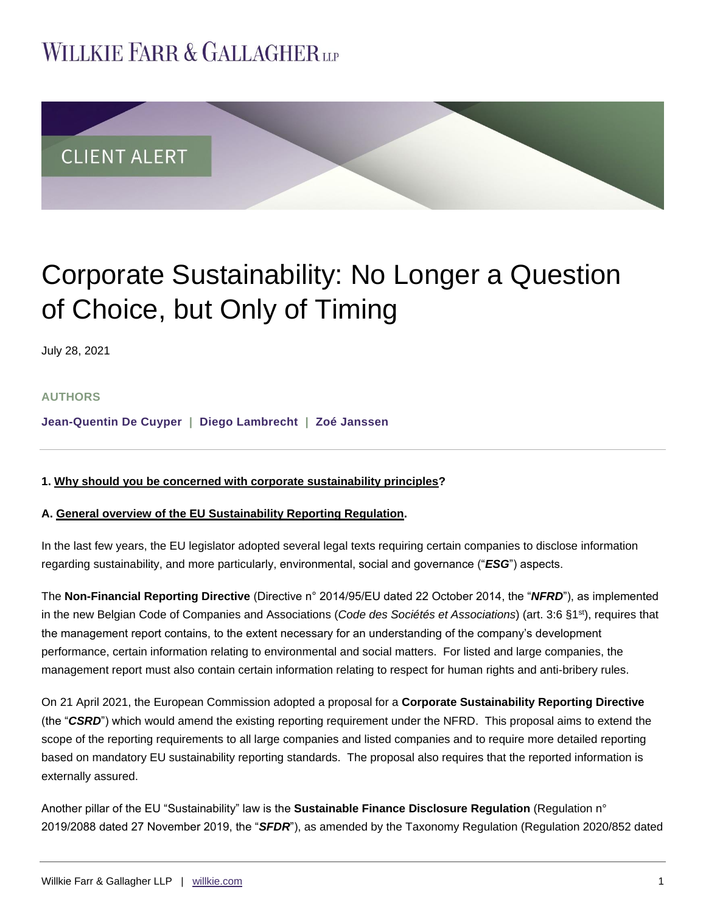# **WILLKIE FARR & GALLAGHERUP**



# Corporate Sustainability: No Longer a Question of Choice, but Only of Timing

July 28, 2021

## **AUTHORS**

**[Jean-Quentin De Cuyper](https://www.willkie.com/professionals/d/de-cuyper-jeanquentin) | [Diego Lambrecht](https://www.willkie.com/professionals/l/lambrecht-diego) | [Zoé Janssen](https://www.willkie.com/professionals/j/janssen-zoe)**

## **1. Why should you be concerned with corporate sustainability principles?**

#### **A. General overview of the EU Sustainability Reporting Regulation.**

In the last few years, the EU legislator adopted several legal texts requiring certain companies to disclose information regarding sustainability, and more particularly, environmental, social and governance ("*ESG*") aspects.

The **Non-Financial Reporting Directive** (Directive n° 2014/95/EU dated 22 October 2014, the "*NFRD*"), as implemented in the new Belgian Code of Companies and Associations (*Code des Sociétés et Associations*) (art. 3:6 §1st), requires that the management report contains, to the extent necessary for an understanding of the company's development performance, certain information relating to environmental and social matters. For listed and large companies, the management report must also contain certain information relating to respect for human rights and anti-bribery rules.

On 21 April 2021, the European Commission adopted a proposal for a **Corporate Sustainability Reporting Directive** (the "*CSRD*") which would amend the existing reporting requirement under the NFRD. This proposal aims to extend the scope of the reporting requirements to all large companies and listed companies and to require more detailed reporting based on mandatory EU sustainability reporting standards. The proposal also requires that the reported information is externally assured.

Another pillar of the EU "Sustainability" law is the **Sustainable Finance Disclosure Regulation** (Regulation n° 2019/2088 dated 27 November 2019, the "*SFDR*"), as amended by the Taxonomy Regulation (Regulation 2020/852 dated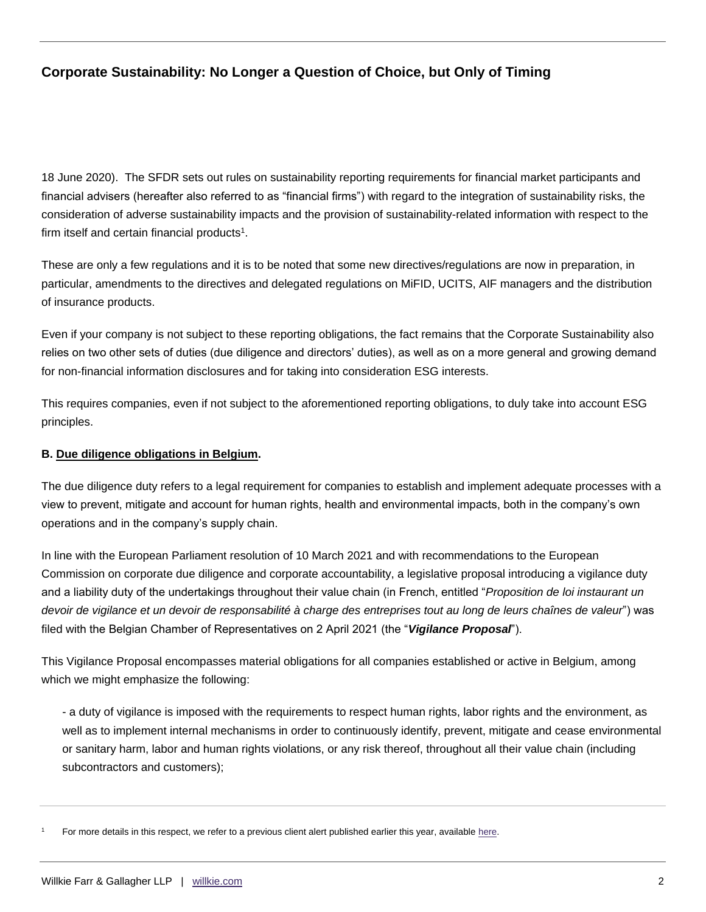18 June 2020). The SFDR sets out rules on sustainability reporting requirements for financial market participants and financial advisers (hereafter also referred to as "financial firms") with regard to the integration of sustainability risks, the consideration of adverse sustainability impacts and the provision of sustainability-related information with respect to the firm itself and certain financial products $1$ .

These are only a few regulations and it is to be noted that some new directives/regulations are now in preparation, in particular, amendments to the directives and delegated regulations on MiFID, UCITS, AIF managers and the distribution of insurance products.

Even if your company is not subject to these reporting obligations, the fact remains that the Corporate Sustainability also relies on two other sets of duties (due diligence and directors' duties), as well as on a more general and growing demand for non-financial information disclosures and for taking into consideration ESG interests.

This requires companies, even if not subject to the aforementioned reporting obligations, to duly take into account ESG principles.

### **B. Due diligence obligations in Belgium.**

The due diligence duty refers to a legal requirement for companies to establish and implement adequate processes with a view to prevent, mitigate and account for human rights, health and environmental impacts, both in the company's own operations and in the company's supply chain.

In line with the European Parliament resolution of 10 March 2021 and with recommendations to the European Commission on corporate due diligence and corporate accountability, a legislative proposal introducing a vigilance duty and a liability duty of the undertakings throughout their value chain (in French, entitled "*Proposition de loi instaurant un devoir de vigilance et un devoir de responsabilité à charge des entreprises tout au long de leurs chaînes de valeur*") was filed with the Belgian Chamber of Representatives on 2 April 2021 (the "*Vigilance Proposal*").

This Vigilance Proposal encompasses material obligations for all companies established or active in Belgium, among which we might emphasize the following:

- a duty of vigilance is imposed with the requirements to respect human rights, labor rights and the environment, as well as to implement internal mechanisms in order to continuously identify, prevent, mitigate and cease environmental or sanitary harm, labor and human rights violations, or any risk thereof, throughout all their value chain (including subcontractors and customers);

For more details in this respect, we refer to a previous client alert published earlier this year, available [here.](https://www.willkie.com/-/media/files/publications/2021/01/eusustainablefinancedisclosureregulation.pdf)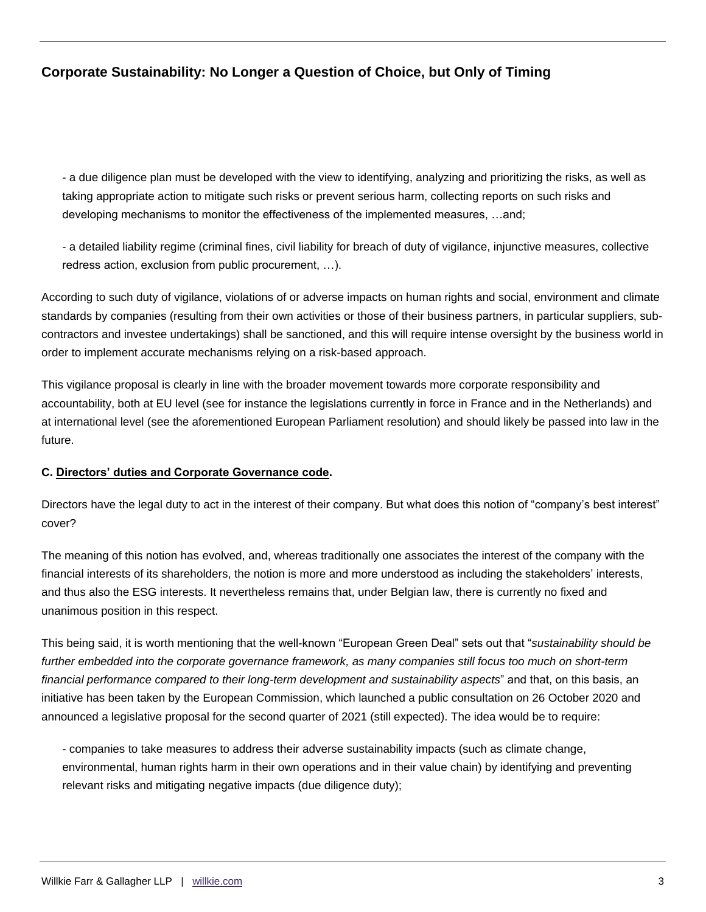- a due diligence plan must be developed with the view to identifying, analyzing and prioritizing the risks, as well as taking appropriate action to mitigate such risks or prevent serious harm, collecting reports on such risks and developing mechanisms to monitor the effectiveness of the implemented measures, …and;

- a detailed liability regime (criminal fines, civil liability for breach of duty of vigilance, injunctive measures, collective redress action, exclusion from public procurement, …).

According to such duty of vigilance, violations of or adverse impacts on human rights and social, environment and climate standards by companies (resulting from their own activities or those of their business partners, in particular suppliers, subcontractors and investee undertakings) shall be sanctioned, and this will require intense oversight by the business world in order to implement accurate mechanisms relying on a risk-based approach.

This vigilance proposal is clearly in line with the broader movement towards more corporate responsibility and accountability, both at EU level (see for instance the legislations currently in force in France and in the Netherlands) and at international level (see the aforementioned European Parliament resolution) and should likely be passed into law in the future.

## **C. Directors' duties and Corporate Governance code.**

Directors have the legal duty to act in the interest of their company. But what does this notion of "company's best interest" cover?

The meaning of this notion has evolved, and, whereas traditionally one associates the interest of the company with the financial interests of its shareholders, the notion is more and more understood as including the stakeholders' interests, and thus also the ESG interests. It nevertheless remains that, under Belgian law, there is currently no fixed and unanimous position in this respect.

This being said, it is worth mentioning that the well-known "European Green Deal" sets out that "*sustainability should be further embedded into the corporate governance framework, as many companies still focus too much on short-term financial performance compared to their long-term development and sustainability aspects*" and that, on this basis, an initiative has been taken by the European Commission, which launched a public consultation on 26 October 2020 and announced a legislative proposal for the second quarter of 2021 (still expected). The idea would be to require:

- companies to take measures to address their adverse sustainability impacts (such as climate change, environmental, human rights harm in their own operations and in their value chain) by identifying and preventing relevant risks and mitigating negative impacts (due diligence duty);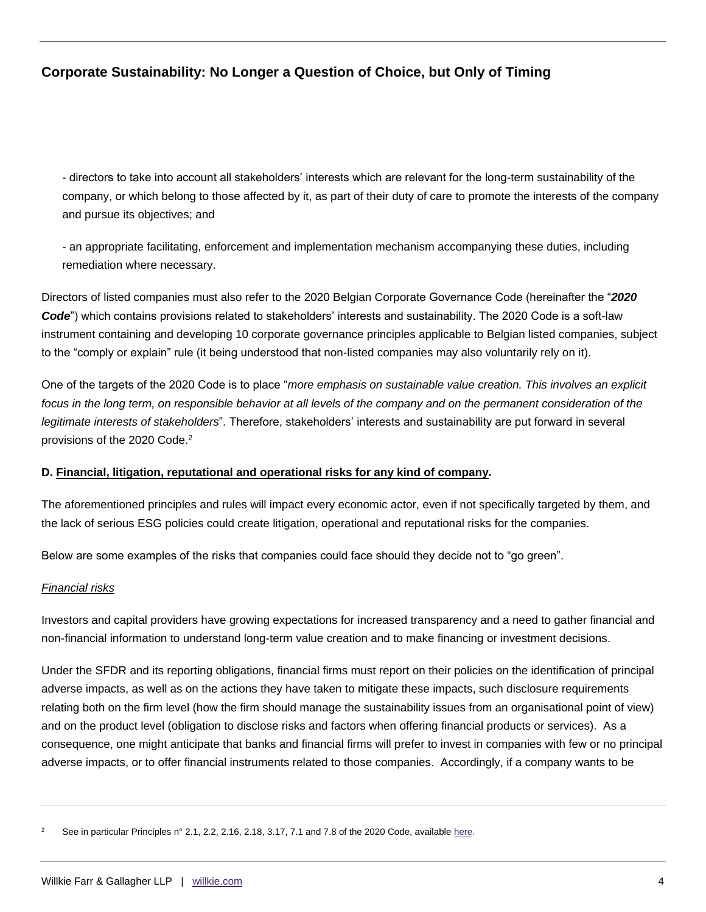- directors to take into account all stakeholders' interests which are relevant for the long-term sustainability of the company, or which belong to those affected by it, as part of their duty of care to promote the interests of the company and pursue its objectives; and

- an appropriate facilitating, enforcement and implementation mechanism accompanying these duties, including remediation where necessary.

Directors of listed companies must also refer to the 2020 Belgian Corporate Governance Code (hereinafter the "*2020 Code*") which contains provisions related to stakeholders' interests and sustainability. The 2020 Code is a soft-law instrument containing and developing 10 corporate governance principles applicable to Belgian listed companies, subject to the "comply or explain" rule (it being understood that non-listed companies may also voluntarily rely on it).

One of the targets of the 2020 Code is to place "*more emphasis on sustainable value creation. This involves an explicit*  focus in the long term, on responsible behavior at all levels of the company and on the permanent consideration of the *legitimate interests of stakeholders*". Therefore, stakeholders' interests and sustainability are put forward in several provisions of the 2020 Code.<sup>2</sup>

## **D. Financial, litigation, reputational and operational risks for any kind of company.**

The aforementioned principles and rules will impact every economic actor, even if not specifically targeted by them, and the lack of serious ESG policies could create litigation, operational and reputational risks for the companies.

Below are some examples of the risks that companies could face should they decide not to "go green".

#### *Financial risks*

Investors and capital providers have growing expectations for increased transparency and a need to gather financial and non-financial information to understand long-term value creation and to make financing or investment decisions.

Under the SFDR and its reporting obligations, financial firms must report on their policies on the identification of principal adverse impacts, as well as on the actions they have taken to mitigate these impacts, such disclosure requirements relating both on the firm level (how the firm should manage the sustainability issues from an organisational point of view) and on the product level (obligation to disclose risks and factors when offering financial products or services). As a consequence, one might anticipate that banks and financial firms will prefer to invest in companies with few or no principal adverse impacts, or to offer financial instruments related to those companies. Accordingly, if a company wants to be

See in particular Principles n° 2.1, 2.2, 2.16, 2.18, 3.17, 7.1 and 7.8 of the 2020 Code, available [here.](https://www.corporategovernancecommittee.be/en/over-de-code-2020/2020-belgian-code-corporate-governance)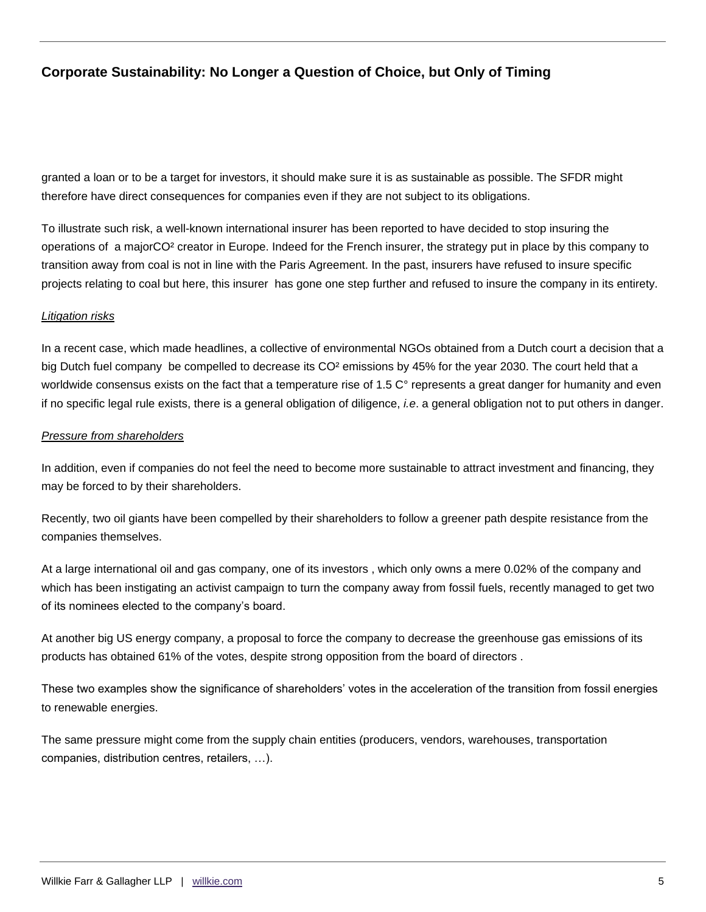granted a loan or to be a target for investors, it should make sure it is as sustainable as possible. The SFDR might therefore have direct consequences for companies even if they are not subject to its obligations.

To illustrate such risk, a well-known international insurer has been reported to have decided to stop insuring the operations of a majorCO² creator in Europe. Indeed for the French insurer, the strategy put in place by this company to transition away from coal is not in line with the Paris Agreement. In the past, insurers have refused to insure specific projects relating to coal but here, this insurer has gone one step further and refused to insure the company in its entirety.

### *Litigation risks*

In a recent case, which made headlines, a collective of environmental NGOs obtained from a Dutch court a decision that a big Dutch fuel company be compelled to decrease its CO<sup>2</sup> emissions by 45% for the year 2030. The court held that a worldwide consensus exists on the fact that a temperature rise of 1.5 C° represents a great danger for humanity and even if no specific legal rule exists, there is a general obligation of diligence, *i.e*. a general obligation not to put others in danger.

#### *Pressure from shareholders*

In addition, even if companies do not feel the need to become more sustainable to attract investment and financing, they may be forced to by their shareholders.

Recently, two oil giants have been compelled by their shareholders to follow a greener path despite resistance from the companies themselves.

At a large international oil and gas company, one of its investors , which only owns a mere 0.02% of the company and which has been instigating an activist campaign to turn the company away from fossil fuels, recently managed to get two of its nominees elected to the company's board.

At another big US energy company, a proposal to force the company to decrease the greenhouse gas emissions of its products has obtained 61% of the votes, despite strong opposition from the board of directors .

These two examples show the significance of shareholders' votes in the acceleration of the transition from fossil energies to renewable energies.

The same pressure might come from the supply chain entities (producers, vendors, warehouses, transportation companies, distribution centres, retailers, …).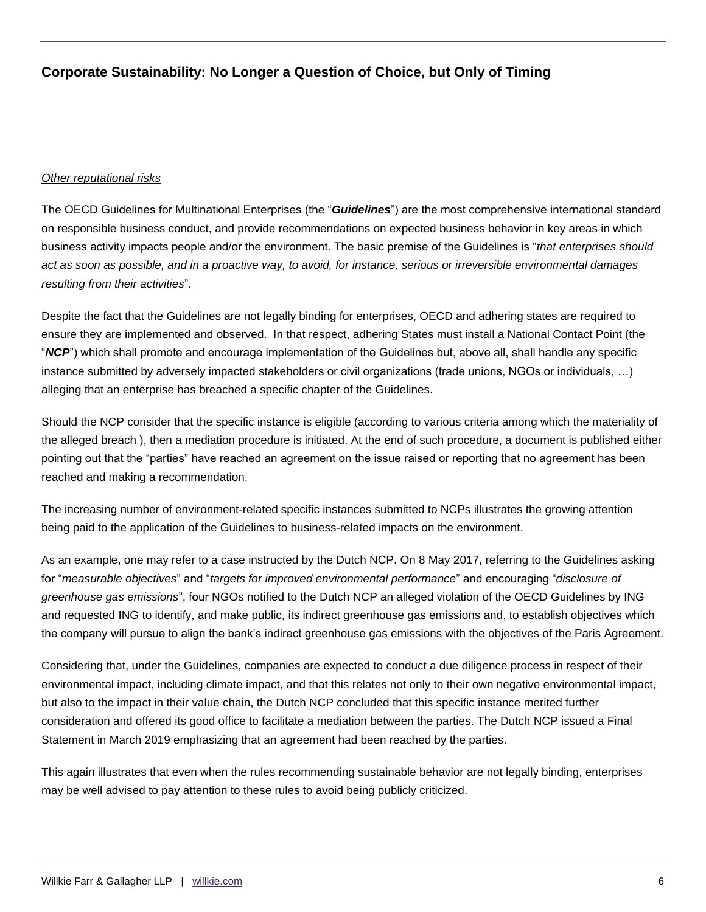#### *Other reputational risks*

The OECD Guidelines for Multinational Enterprises (the "*Guidelines*") are the most comprehensive international standard on responsible business conduct, and provide recommendations on expected business behavior in key areas in which business activity impacts people and/or the environment. The basic premise of the Guidelines is "*that enterprises should act as soon as possible, and in a proactive way, to avoid, for instance, serious or irreversible environmental damages resulting from their activities*".

Despite the fact that the Guidelines are not legally binding for enterprises, OECD and adhering states are required to ensure they are implemented and observed. In that respect, adhering States must install a National Contact Point (the "*NCP*") which shall promote and encourage implementation of the Guidelines but, above all, shall handle any specific instance submitted by adversely impacted stakeholders or civil organizations (trade unions, NGOs or individuals, …) alleging that an enterprise has breached a specific chapter of the Guidelines.

Should the NCP consider that the specific instance is eligible (according to various criteria among which the materiality of the alleged breach ), then a mediation procedure is initiated. At the end of such procedure, a document is published either pointing out that the "parties" have reached an agreement on the issue raised or reporting that no agreement has been reached and making a recommendation.

The increasing number of environment-related specific instances submitted to NCPs illustrates the growing attention being paid to the application of the Guidelines to business-related impacts on the environment.

As an example, one may refer to a case instructed by the Dutch NCP. On 8 May 2017, referring to the Guidelines asking for "*measurable objectives*" and "*targets for improved environmental performance*" and encouraging "*disclosure of greenhouse gas emissions*", four NGOs notified to the Dutch NCP an alleged violation of the OECD Guidelines by ING and requested ING to identify, and make public, its indirect greenhouse gas emissions and, to establish objectives which the company will pursue to align the bank's indirect greenhouse gas emissions with the objectives of the Paris Agreement.

Considering that, under the Guidelines, companies are expected to conduct a due diligence process in respect of their environmental impact, including climate impact, and that this relates not only to their own negative environmental impact, but also to the impact in their value chain, the Dutch NCP concluded that this specific instance merited further consideration and offered its good office to facilitate a mediation between the parties. The Dutch NCP issued a Final Statement in March 2019 emphasizing that an agreement had been reached by the parties.

This again illustrates that even when the rules recommending sustainable behavior are not legally binding, enterprises may be well advised to pay attention to these rules to avoid being publicly criticized.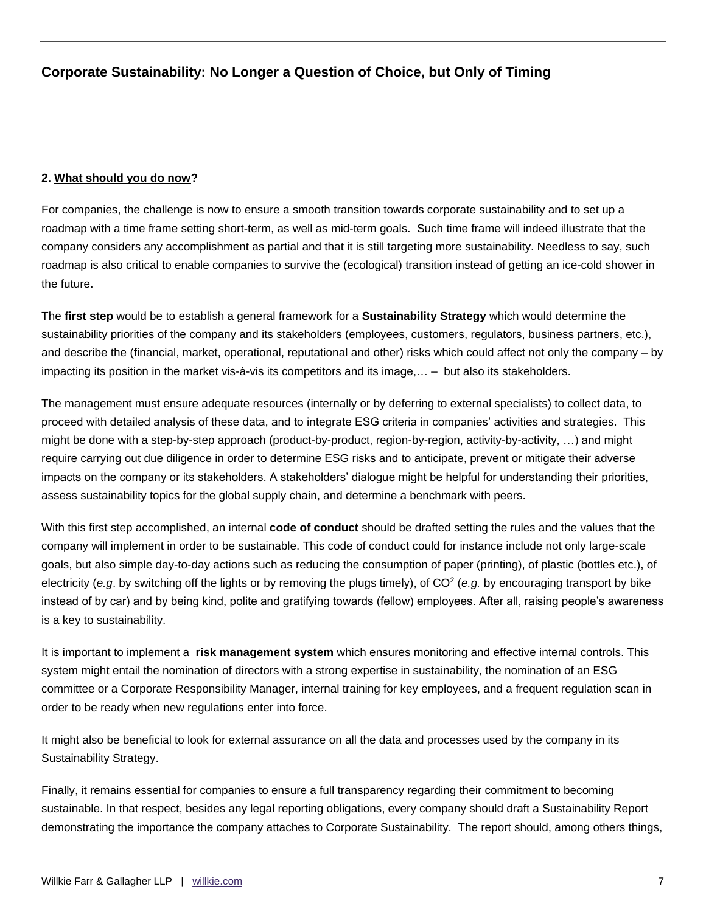#### **2. What should you do now?**

For companies, the challenge is now to ensure a smooth transition towards corporate sustainability and to set up a roadmap with a time frame setting short-term, as well as mid-term goals. Such time frame will indeed illustrate that the company considers any accomplishment as partial and that it is still targeting more sustainability. Needless to say, such roadmap is also critical to enable companies to survive the (ecological) transition instead of getting an ice-cold shower in the future.

The **first step** would be to establish a general framework for a **Sustainability Strategy** which would determine the sustainability priorities of the company and its stakeholders (employees, customers, regulators, business partners, etc.), and describe the (financial, market, operational, reputational and other) risks which could affect not only the company – by impacting its position in the market vis-à-vis its competitors and its image,… – but also its stakeholders.

The management must ensure adequate resources (internally or by deferring to external specialists) to collect data, to proceed with detailed analysis of these data, and to integrate ESG criteria in companies' activities and strategies. This might be done with a step-by-step approach (product-by-product, region-by-region, activity-by-activity, …) and might require carrying out due diligence in order to determine ESG risks and to anticipate, prevent or mitigate their adverse impacts on the company or its stakeholders. A stakeholders' dialogue might be helpful for understanding their priorities, assess sustainability topics for the global supply chain, and determine a benchmark with peers.

With this first step accomplished, an internal **code of conduct** should be drafted setting the rules and the values that the company will implement in order to be sustainable. This code of conduct could for instance include not only large-scale goals, but also simple day-to-day actions such as reducing the consumption of paper (printing), of plastic (bottles etc.), of electricity (e.g. by switching off the lights or by removing the plugs timely), of CO<sup>2</sup> (e.g. by encouraging transport by bike instead of by car) and by being kind, polite and gratifying towards (fellow) employees. After all, raising people's awareness is a key to sustainability.

It is important to implement a **risk management system** which ensures monitoring and effective internal controls. This system might entail the nomination of directors with a strong expertise in sustainability, the nomination of an ESG committee or a Corporate Responsibility Manager, internal training for key employees, and a frequent regulation scan in order to be ready when new regulations enter into force.

It might also be beneficial to look for external assurance on all the data and processes used by the company in its Sustainability Strategy.

Finally, it remains essential for companies to ensure a full transparency regarding their commitment to becoming sustainable. In that respect, besides any legal reporting obligations, every company should draft a Sustainability Report demonstrating the importance the company attaches to Corporate Sustainability. The report should, among others things,